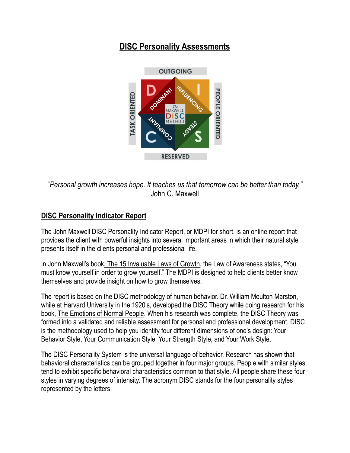## **DISC Personality Assessments**



"*Personal growth increases hope. It teaches us that tomorrow can be better than today."* John C. Maxwell

## **DISC Personality Indicator Report**

The John Maxwell DISC Personality Indicator Report, or MDPI for short, is an online report that provides the client with powerful insights into several important areas in which their natural style presents itself in the clients personal and professional life.

In John Maxwell's book, The 15 Invaluable Laws of Growth, the Law of Awareness states, "You must know yourself in order to grow yourself." The MDPI is designed to help clients better know themselves and provide insight on how to grow themselves.

The report is based on the DISC methodology of human behavior. Dr. William Moulton Marston, while at Harvard University in the 1920's, developed the DISC Theory while doing research for his book, The Emotions of Normal People. When his research was complete, the DISC Theory was formed into a validated and reliable assessment for personal and professional development. DISC is the methodology used to help you identify four different dimensions of one's design: Your Behavior Style, Your Communication Style, Your Strength Style, and Your Work Style.

The DISC Personality System is the universal language of behavior. Research has shown that behavioral characteristics can be grouped together in four major groups. People with similar styles tend to exhibit specific behavioral characteristics common to that style. All people share these four styles in varying degrees of intensity. The acronym DISC stands for the four personality styles represented by the letters: